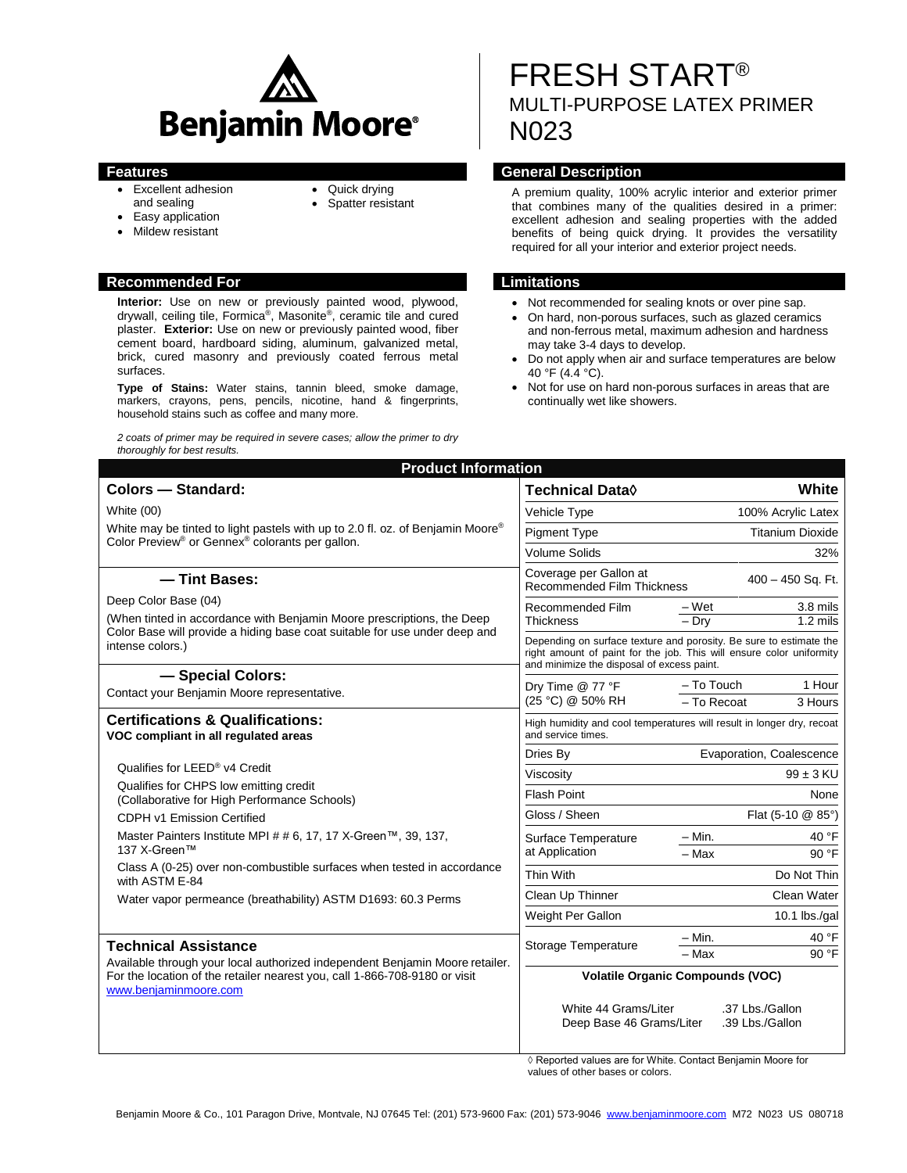

- 
- Excellent adhesion and sealing
- Quick drying
- Spatter resistant
- Easy application
- Mildew resistant

### **Recommended For Limitations**

**Interior:** Use on new or previously painted wood, plywood, drywall, ceiling tile, Formica®, Masonite®, ceramic tile and cured plaster. **Exterior:** Use on new or previously painted wood, fiber cement board, hardboard siding, aluminum, galvanized metal, brick, cured masonry and previously coated ferrous metal surfaces.

**Type of Stains:** Water stains, tannin bleed, smoke damage, markers, crayons, pens, pencils, nicotine, hand & fingerprints, household stains such as coffee and many more.

*2 coats of primer may be required in severe cases; allow the primer to dry thoroughly for best results.*

# FRESH START® MULTI-PURPOSE LATEX PRIMER N023

# **Features General Description**

A premium quality, 100% acrylic interior and exterior primer that combines many of the qualities desired in a primer: excellent adhesion and sealing properties with the added benefits of being quick drying. It provides the versatility required for all your interior and exterior project needs.

- Not recommended for sealing knots or over pine sap.
- On hard, non-porous surfaces, such as glazed ceramics and non-ferrous metal, maximum adhesion and hardness may take 3-4 days to develop.
- Do not apply when air and surface temperatures are below 40 °F (4.4 °C).
- Not for use on hard non-porous surfaces in areas that are continually wet like showers.

| <b>Product Information</b>                                                                                                                                                                                         |                                                                                                                                                                                          |
|--------------------------------------------------------------------------------------------------------------------------------------------------------------------------------------------------------------------|------------------------------------------------------------------------------------------------------------------------------------------------------------------------------------------|
| Colors - Standard:                                                                                                                                                                                                 | White<br>Technical Data◊                                                                                                                                                                 |
| White (00)<br>White may be tinted to light pastels with up to 2.0 fl. oz. of Benjamin Moore <sup>®</sup><br>Color Preview <sup>®</sup> or Gennex <sup>®</sup> colorants per gallon.                                | 100% Acrylic Latex<br>Vehicle Type                                                                                                                                                       |
|                                                                                                                                                                                                                    | <b>Pigment Type</b><br><b>Titanium Dioxide</b>                                                                                                                                           |
|                                                                                                                                                                                                                    | <b>Volume Solids</b><br>32%                                                                                                                                                              |
| -Tint Bases:                                                                                                                                                                                                       | Coverage per Gallon at<br>400 - 450 Sq. Ft.<br><b>Recommended Film Thickness</b>                                                                                                         |
| Deep Color Base (04)<br>(When tinted in accordance with Benjamin Moore prescriptions, the Deep<br>Color Base will provide a hiding base coat suitable for use under deep and                                       | 3.8 mils<br>– Wet<br>Recommended Film                                                                                                                                                    |
|                                                                                                                                                                                                                    | $-$ Drv<br>$1.2$ mils<br>Thickness                                                                                                                                                       |
| intense colors.)                                                                                                                                                                                                   | Depending on surface texture and porosity. Be sure to estimate the<br>right amount of paint for the job. This will ensure color uniformity<br>and minimize the disposal of excess paint. |
| - Special Colors:                                                                                                                                                                                                  | 1 Hour<br>- To Touch<br>Dry Time @ 77 °F<br>(25 °C) @ 50% RH<br>- To Recoat<br>3 Hours                                                                                                   |
| Contact your Benjamin Moore representative.                                                                                                                                                                        |                                                                                                                                                                                          |
| <b>Certifications &amp; Qualifications:</b><br>VOC compliant in all regulated areas                                                                                                                                | High humidity and cool temperatures will result in longer dry, recoat<br>and service times.                                                                                              |
|                                                                                                                                                                                                                    | Evaporation, Coalescence<br>Dries By                                                                                                                                                     |
| Qualifies for LEED® v4 Credit                                                                                                                                                                                      | $99 \pm 3$ KU<br>Viscositv                                                                                                                                                               |
| Qualifies for CHPS low emitting credit<br>(Collaborative for High Performance Schools)                                                                                                                             | <b>Flash Point</b><br>None                                                                                                                                                               |
| CDPH v1 Emission Certified                                                                                                                                                                                         | Gloss / Sheen<br>Flat (5-10 @ 85°)                                                                                                                                                       |
| Master Painters Institute MPI # # 6, 17, 17 X-Green™, 39, 137,                                                                                                                                                     | 40 °F<br>$-$ Min.<br>Surface Temperature                                                                                                                                                 |
| 137 X-Green™                                                                                                                                                                                                       | at Application<br>$-Max$<br>90 °F                                                                                                                                                        |
| Class A (0-25) over non-combustible surfaces when tested in accordance<br>with ASTM E-84                                                                                                                           | Thin With<br>Do Not Thin                                                                                                                                                                 |
| Water vapor permeance (breathability) ASTM D1693: 60.3 Perms                                                                                                                                                       | Clean Up Thinner<br>Clean Water                                                                                                                                                          |
|                                                                                                                                                                                                                    | Weight Per Gallon<br>$10.1$ lbs./qal                                                                                                                                                     |
| <b>Technical Assistance</b><br>Available through your local authorized independent Benjamin Moore retailer.<br>For the location of the retailer nearest you, call 1-866-708-9180 or visit<br>www.beniaminmoore.com | 40 °F<br>$-$ Min.<br>Storage Temperature                                                                                                                                                 |
|                                                                                                                                                                                                                    | $90^{\circ}$ F<br>- Max                                                                                                                                                                  |
|                                                                                                                                                                                                                    | <b>Volatile Organic Compounds (VOC)</b>                                                                                                                                                  |
|                                                                                                                                                                                                                    | White 44 Grams/Liter<br>.37 Lbs./Gallon<br>Deep Base 46 Grams/Liter<br>.39 Lbs./Gallon                                                                                                   |

◊ Reported values are for White. Contact Benjamin Moore for values of other bases or colors.